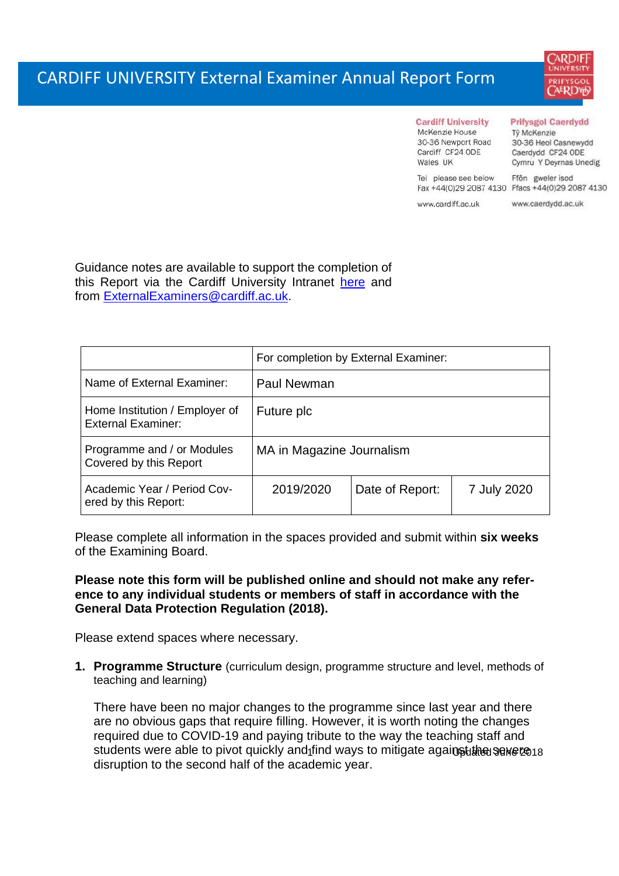

#### **Prifysgol Caerdydd**

McKenzie House 30-36 Newport Road Cardiff CF24 ODE Wales IIK

Tel please see below

**Cardiff University** 

Tŷ McKenzie 30-36 Heol Casnewydd Caerdydd CF24 ODE Cymru Y Deyrnas Unedig

Ffôn gweler isod Fax +44(0)29 2087 4130 Ffacs +44(0)29 2087 4130

www.cardiff.ac.uk

www.caerdydd.ac.uk

Guidance notes are available to support the completion of this Report via the Cardiff University Intranet [here](https://intranet.cardiff.ac.uk/staff/teaching-and-supporting-students/exams-and-assessment/exam-boards-and-external-examiners/for-current-external-examiners/external-examiners-reports) and from [ExternalExaminers@cardiff.ac.uk.](mailto:ExternalExaminers@cardiff.ac.uk)

|                                                             | For completion by External Examiner: |                 |             |  |  |
|-------------------------------------------------------------|--------------------------------------|-----------------|-------------|--|--|
| Name of External Examiner:                                  | Paul Newman                          |                 |             |  |  |
| Home Institution / Employer of<br><b>External Examiner:</b> | Future plc                           |                 |             |  |  |
| Programme and / or Modules<br>Covered by this Report        | MA in Magazine Journalism            |                 |             |  |  |
| Academic Year / Period Cov-<br>ered by this Report:         | 2019/2020                            | Date of Report: | 7 July 2020 |  |  |

Please complete all information in the spaces provided and submit within **six weeks** of the Examining Board.

## **Please note this form will be published online and should not make any reference to any individual students or members of staff in accordance with the General Data Protection Regulation (2018).**

Please extend spaces where necessary.

**1. Programme Structure** (curriculum design, programme structure and level, methods of teaching and learning)

students were able to pivot quickly and<sub>1</sub>find ways to mitigate against the sewere 18 There have been no major changes to the programme since last year and there are no obvious gaps that require filling. However, it is worth noting the changes required due to COVID-19 and paying tribute to the way the teaching staff and disruption to the second half of the academic year.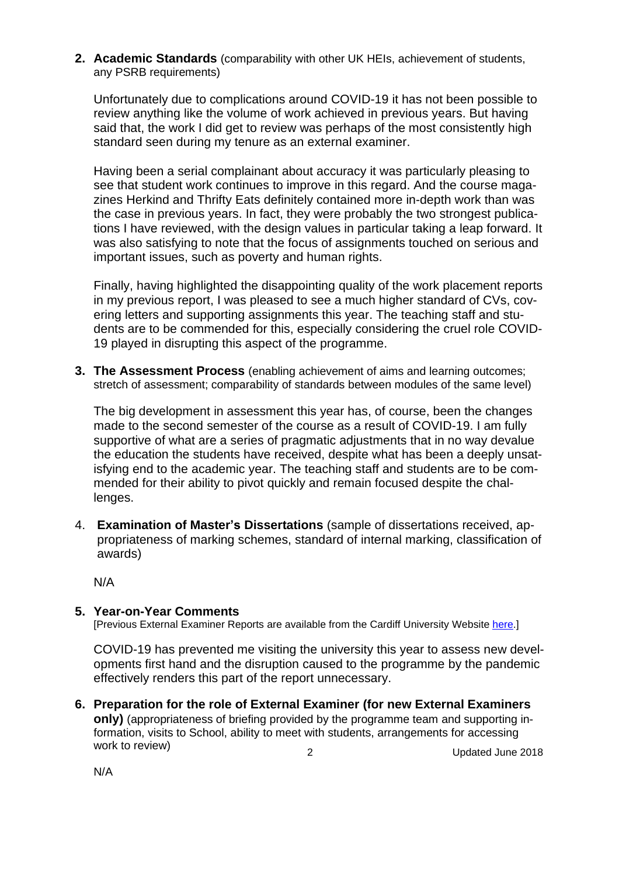**2. Academic Standards** (comparability with other UK HEIs, achievement of students, any PSRB requirements)

Unfortunately due to complications around COVID-19 it has not been possible to review anything like the volume of work achieved in previous years. But having said that, the work I did get to review was perhaps of the most consistently high standard seen during my tenure as an external examiner.

Having been a serial complainant about accuracy it was particularly pleasing to see that student work continues to improve in this regard. And the course magazines Herkind and Thrifty Eats definitely contained more in-depth work than was the case in previous years. In fact, they were probably the two strongest publications I have reviewed, with the design values in particular taking a leap forward. It was also satisfying to note that the focus of assignments touched on serious and important issues, such as poverty and human rights.

Finally, having highlighted the disappointing quality of the work placement reports in my previous report, I was pleased to see a much higher standard of CVs, covering letters and supporting assignments this year. The teaching staff and students are to be commended for this, especially considering the cruel role COVID-19 played in disrupting this aspect of the programme.

**3. The Assessment Process** (enabling achievement of aims and learning outcomes; stretch of assessment; comparability of standards between modules of the same level)

The big development in assessment this year has, of course, been the changes made to the second semester of the course as a result of COVID-19. I am fully supportive of what are a series of pragmatic adjustments that in no way devalue the education the students have received, despite what has been a deeply unsatisfying end to the academic year. The teaching staff and students are to be commended for their ability to pivot quickly and remain focused despite the challenges.

4. **Examination of Master's Dissertations** (sample of dissertations received, appropriateness of marking schemes, standard of internal marking, classification of awards)

N/A

N/A

### **5. Year-on-Year Comments**

[Previous External Examiner Reports are available from the Cardiff University Website [here.](https://www.cardiff.ac.uk/public-information/quality-and-standards/external-examiner-reports)]

COVID-19 has prevented me visiting the university this year to assess new developments first hand and the disruption caused to the programme by the pandemic effectively renders this part of the report unnecessary.

2 Updated June 2018 **6. Preparation for the role of External Examiner (for new External Examiners only)** (appropriateness of briefing provided by the programme team and supporting information, visits to School, ability to meet with students, arrangements for accessing work to review)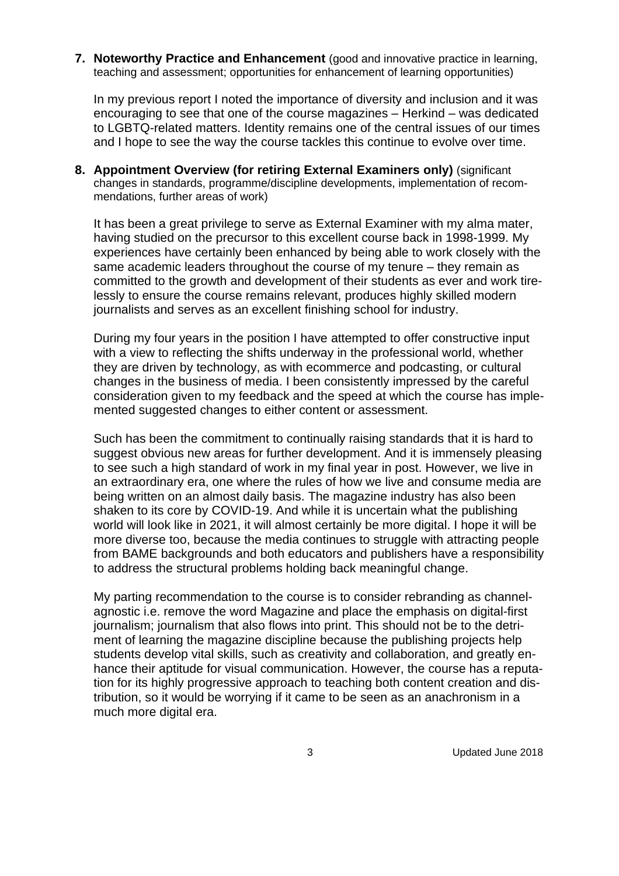**7. Noteworthy Practice and Enhancement** (good and innovative practice in learning, teaching and assessment; opportunities for enhancement of learning opportunities)

In my previous report I noted the importance of diversity and inclusion and it was encouraging to see that one of the course magazines – Herkind – was dedicated to LGBTQ-related matters. Identity remains one of the central issues of our times and I hope to see the way the course tackles this continue to evolve over time.

**8. Appointment Overview (for retiring External Examiners only)** (significant changes in standards, programme/discipline developments, implementation of recommendations, further areas of work)

It has been a great privilege to serve as External Examiner with my alma mater, having studied on the precursor to this excellent course back in 1998-1999. My experiences have certainly been enhanced by being able to work closely with the same academic leaders throughout the course of my tenure – they remain as committed to the growth and development of their students as ever and work tirelessly to ensure the course remains relevant, produces highly skilled modern journalists and serves as an excellent finishing school for industry.

During my four years in the position I have attempted to offer constructive input with a view to reflecting the shifts underway in the professional world, whether they are driven by technology, as with ecommerce and podcasting, or cultural changes in the business of media. I been consistently impressed by the careful consideration given to my feedback and the speed at which the course has implemented suggested changes to either content or assessment.

Such has been the commitment to continually raising standards that it is hard to suggest obvious new areas for further development. And it is immensely pleasing to see such a high standard of work in my final year in post. However, we live in an extraordinary era, one where the rules of how we live and consume media are being written on an almost daily basis. The magazine industry has also been shaken to its core by COVID-19. And while it is uncertain what the publishing world will look like in 2021, it will almost certainly be more digital. I hope it will be more diverse too, because the media continues to struggle with attracting people from BAME backgrounds and both educators and publishers have a responsibility to address the structural problems holding back meaningful change.

My parting recommendation to the course is to consider rebranding as channelagnostic i.e. remove the word Magazine and place the emphasis on digital-first journalism; journalism that also flows into print. This should not be to the detriment of learning the magazine discipline because the publishing projects help students develop vital skills, such as creativity and collaboration, and greatly enhance their aptitude for visual communication. However, the course has a reputation for its highly progressive approach to teaching both content creation and distribution, so it would be worrying if it came to be seen as an anachronism in a much more digital era.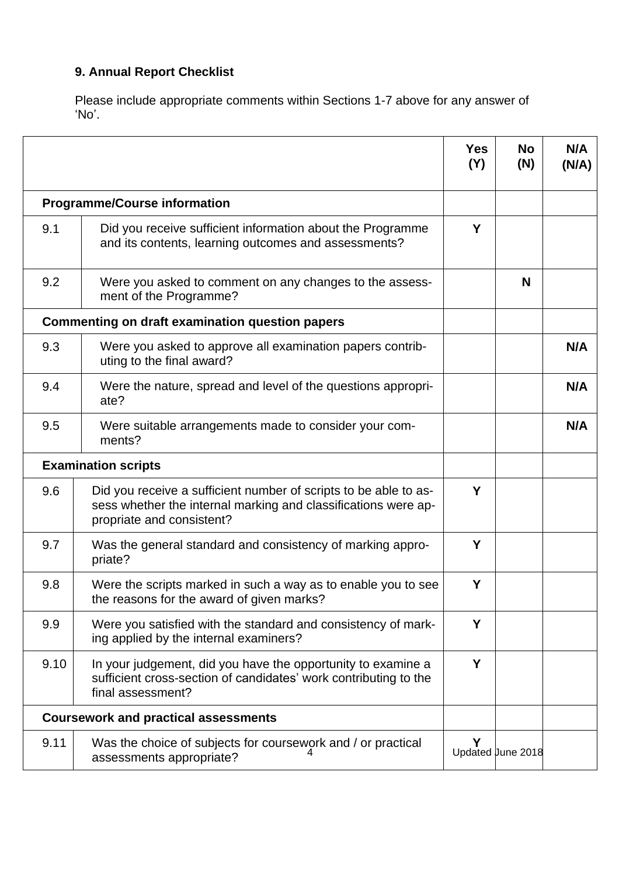# **9. Annual Report Checklist**

Please include appropriate comments within Sections 1-7 above for any answer of 'No'.

|      |                                                                                                                                                                 | <b>Yes</b><br>(Y) | <b>No</b><br>(N)  | N/A<br>(N/A) |
|------|-----------------------------------------------------------------------------------------------------------------------------------------------------------------|-------------------|-------------------|--------------|
|      | <b>Programme/Course information</b>                                                                                                                             |                   |                   |              |
| 9.1  | Did you receive sufficient information about the Programme<br>and its contents, learning outcomes and assessments?                                              | Y                 |                   |              |
| 9.2  | Were you asked to comment on any changes to the assess-<br>ment of the Programme?                                                                               |                   | N                 |              |
|      | Commenting on draft examination question papers                                                                                                                 |                   |                   |              |
| 9.3  | Were you asked to approve all examination papers contrib-<br>uting to the final award?                                                                          |                   |                   | N/A          |
| 9.4  | Were the nature, spread and level of the questions appropri-<br>ate?                                                                                            |                   |                   | N/A          |
| 9.5  | Were suitable arrangements made to consider your com-<br>ments?                                                                                                 |                   |                   | N/A          |
|      | <b>Examination scripts</b>                                                                                                                                      |                   |                   |              |
| 9.6  | Did you receive a sufficient number of scripts to be able to as-<br>sess whether the internal marking and classifications were ap-<br>propriate and consistent? | Y                 |                   |              |
| 9.7  | Was the general standard and consistency of marking appro-<br>priate?                                                                                           | Y                 |                   |              |
| 9.8  | Were the scripts marked in such a way as to enable you to see<br>the reasons for the award of given marks?                                                      | Y                 |                   |              |
| 9.9  | Were you satisfied with the standard and consistency of mark-<br>ing applied by the internal examiners?                                                         | Y                 |                   |              |
| 9.10 | In your judgement, did you have the opportunity to examine a<br>sufficient cross-section of candidates' work contributing to the<br>final assessment?           | Y                 |                   |              |
|      | <b>Coursework and practical assessments</b>                                                                                                                     |                   |                   |              |
| 9.11 | Was the choice of subjects for coursework and / or practical<br>assessments appropriate?                                                                        | Y                 | Updated June 2018 |              |